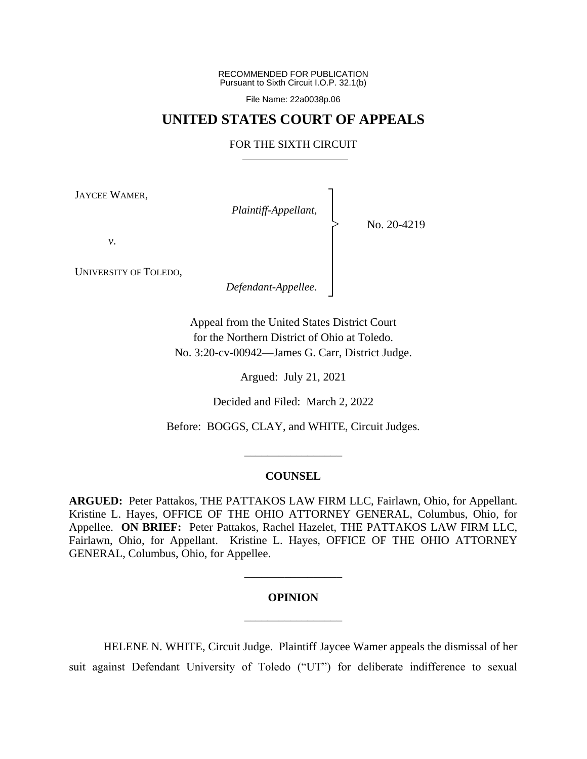RECOMMENDED FOR PUBLICATION Pursuant to Sixth Circuit I.O.P. 32.1(b)

File Name: 22a0038p.06

# **UNITED STATES COURT OF APPEALS**

# FOR THE SIXTH CIRCUIT

┐ │ │ │ │ │ │ │ ┘

|<br>|<br>|

JAYCEE WAMER,

*Plaintiff-Appellant*,

No. 20-4219

*v*.

UNIVERSITY OF TOLEDO,

*Defendant-Appellee*.

Appeal from the United States District Court for the Northern District of Ohio at Toledo. No. 3:20-cv-00942—James G. Carr, District Judge.

Argued: July 21, 2021

Decided and Filed: March 2, 2022

Before: BOGGS, CLAY, and WHITE, Circuit Judges.

\_\_\_\_\_\_\_\_\_\_\_\_\_\_\_\_\_

## **COUNSEL**

**ARGUED:** Peter Pattakos, THE PATTAKOS LAW FIRM LLC, Fairlawn, Ohio, for Appellant. Kristine L. Hayes, OFFICE OF THE OHIO ATTORNEY GENERAL, Columbus, Ohio, for Appellee. **ON BRIEF:** Peter Pattakos, Rachel Hazelet, THE PATTAKOS LAW FIRM LLC, Fairlawn, Ohio, for Appellant. Kristine L. Hayes, OFFICE OF THE OHIO ATTORNEY GENERAL, Columbus, Ohio, for Appellee.

# **OPINION**

\_\_\_\_\_\_\_\_\_\_\_\_\_\_\_\_\_

\_\_\_\_\_\_\_\_\_\_\_\_\_\_\_\_\_

HELENE N. WHITE, Circuit Judge.Plaintiff Jaycee Wamer appeals the dismissal of her suit against Defendant University of Toledo ("UT") for deliberate indifference to sexual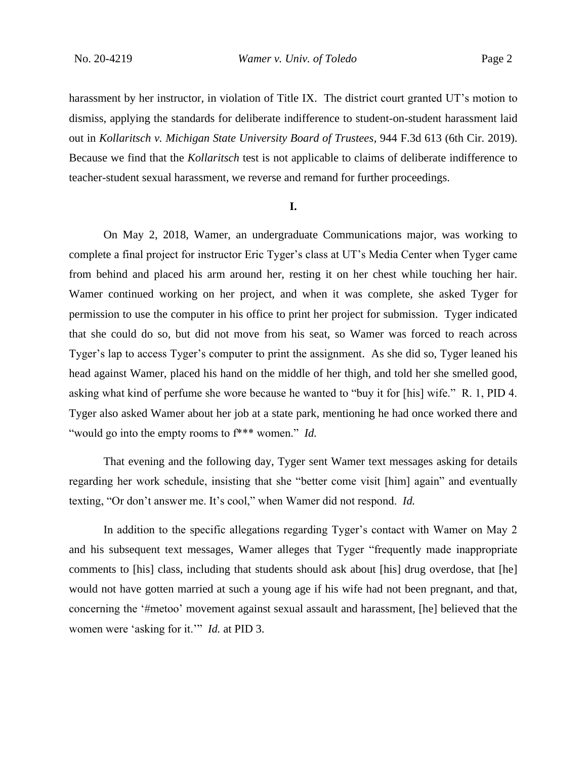harassment by her instructor, in violation of Title IX. The district court granted UT's motion to dismiss, applying the standards for deliberate indifference to student-on-student harassment laid out in *Kollaritsch v. Michigan State University Board of Trustees*, 944 F.3d 613 (6th Cir. 2019). Because we find that the *Kollaritsch* test is not applicable to claims of deliberate indifference to teacher-student sexual harassment, we reverse and remand for further proceedings.

## **I.**

On May 2, 2018, Wamer, an undergraduate Communications major, was working to complete a final project for instructor Eric Tyger's class at UT's Media Center when Tyger came from behind and placed his arm around her, resting it on her chest while touching her hair. Wamer continued working on her project, and when it was complete, she asked Tyger for permission to use the computer in his office to print her project for submission. Tyger indicated that she could do so, but did not move from his seat, so Wamer was forced to reach across Tyger's lap to access Tyger's computer to print the assignment. As she did so, Tyger leaned his head against Wamer, placed his hand on the middle of her thigh, and told her she smelled good, asking what kind of perfume she wore because he wanted to "buy it for [his] wife." R. 1, PID 4. Tyger also asked Wamer about her job at a state park, mentioning he had once worked there and "would go into the empty rooms to f\*\*\* women." *Id.*

That evening and the following day, Tyger sent Wamer text messages asking for details regarding her work schedule, insisting that she "better come visit [him] again" and eventually texting, "Or don't answer me. It's cool," when Wamer did not respond. *Id.*

In addition to the specific allegations regarding Tyger's contact with Wamer on May 2 and his subsequent text messages, Wamer alleges that Tyger "frequently made inappropriate comments to [his] class, including that students should ask about [his] drug overdose, that [he] would not have gotten married at such a young age if his wife had not been pregnant, and that, concerning the '#metoo' movement against sexual assault and harassment, [he] believed that the women were 'asking for it.'" *Id.* at PID 3.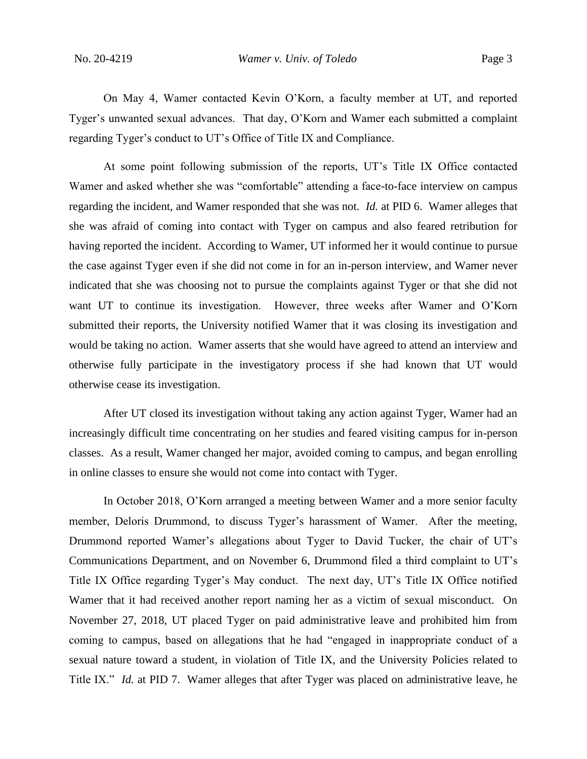On May 4, Wamer contacted Kevin O'Korn, a faculty member at UT, and reported Tyger's unwanted sexual advances. That day, O'Korn and Wamer each submitted a complaint regarding Tyger's conduct to UT's Office of Title IX and Compliance.

At some point following submission of the reports, UT's Title IX Office contacted Wamer and asked whether she was "comfortable" attending a face-to-face interview on campus regarding the incident, and Wamer responded that she was not. *Id.* at PID 6. Wamer alleges that she was afraid of coming into contact with Tyger on campus and also feared retribution for having reported the incident. According to Wamer, UT informed her it would continue to pursue the case against Tyger even if she did not come in for an in-person interview, and Wamer never indicated that she was choosing not to pursue the complaints against Tyger or that she did not want UT to continue its investigation. However, three weeks after Wamer and O'Korn submitted their reports, the University notified Wamer that it was closing its investigation and would be taking no action. Wamer asserts that she would have agreed to attend an interview and otherwise fully participate in the investigatory process if she had known that UT would otherwise cease its investigation.

After UT closed its investigation without taking any action against Tyger, Wamer had an increasingly difficult time concentrating on her studies and feared visiting campus for in-person classes. As a result, Wamer changed her major, avoided coming to campus, and began enrolling in online classes to ensure she would not come into contact with Tyger.

In October 2018, O'Korn arranged a meeting between Wamer and a more senior faculty member, Deloris Drummond, to discuss Tyger's harassment of Wamer. After the meeting, Drummond reported Wamer's allegations about Tyger to David Tucker, the chair of UT's Communications Department, and on November 6, Drummond filed a third complaint to UT's Title IX Office regarding Tyger's May conduct. The next day, UT's Title IX Office notified Wamer that it had received another report naming her as a victim of sexual misconduct. On November 27, 2018, UT placed Tyger on paid administrative leave and prohibited him from coming to campus, based on allegations that he had "engaged in inappropriate conduct of a sexual nature toward a student, in violation of Title IX, and the University Policies related to Title IX." *Id.* at PID 7. Wamer alleges that after Tyger was placed on administrative leave, he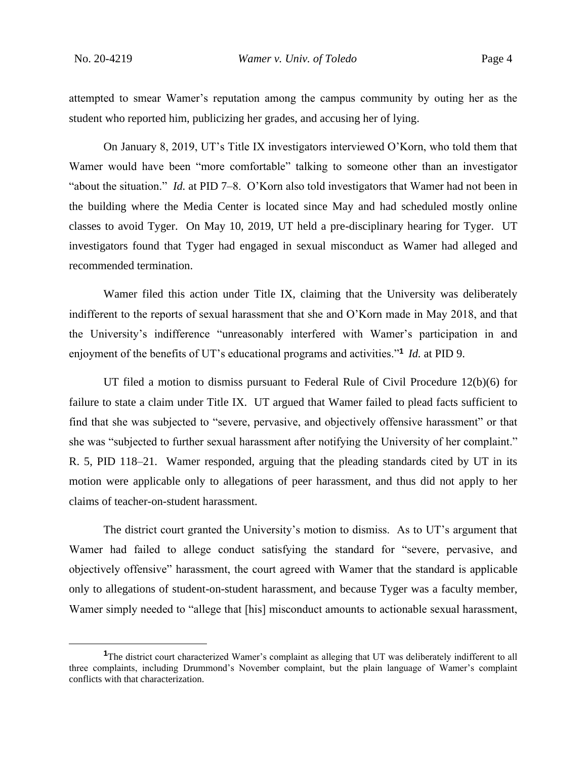attempted to smear Wamer's reputation among the campus community by outing her as the student who reported him, publicizing her grades, and accusing her of lying.

On January 8, 2019, UT's Title IX investigators interviewed O'Korn, who told them that Wamer would have been "more comfortable" talking to someone other than an investigator "about the situation." *Id.* at PID 7–8. O'Korn also told investigators that Wamer had not been in the building where the Media Center is located since May and had scheduled mostly online classes to avoid Tyger. On May 10, 2019, UT held a pre-disciplinary hearing for Tyger. UT investigators found that Tyger had engaged in sexual misconduct as Wamer had alleged and recommended termination.

Wamer filed this action under Title IX, claiming that the University was deliberately indifferent to the reports of sexual harassment that she and O'Korn made in May 2018, and that the University's indifference "unreasonably interfered with Wamer's participation in and enjoyment of the benefits of UT's educational programs and activities."**<sup>1</sup>** *Id.* at PID 9.

UT filed a motion to dismiss pursuant to Federal Rule of Civil Procedure 12(b)(6) for failure to state a claim under Title IX. UT argued that Wamer failed to plead facts sufficient to find that she was subjected to "severe, pervasive, and objectively offensive harassment" or that she was "subjected to further sexual harassment after notifying the University of her complaint." R. 5, PID 118–21. Wamer responded, arguing that the pleading standards cited by UT in its motion were applicable only to allegations of peer harassment, and thus did not apply to her claims of teacher-on-student harassment.

The district court granted the University's motion to dismiss. As to UT's argument that Wamer had failed to allege conduct satisfying the standard for "severe, pervasive, and objectively offensive" harassment, the court agreed with Wamer that the standard is applicable only to allegations of student-on-student harassment, and because Tyger was a faculty member, Wamer simply needed to "allege that [his] misconduct amounts to actionable sexual harassment,

**<sup>1</sup>**The district court characterized Wamer's complaint as alleging that UT was deliberately indifferent to all three complaints, including Drummond's November complaint, but the plain language of Wamer's complaint conflicts with that characterization.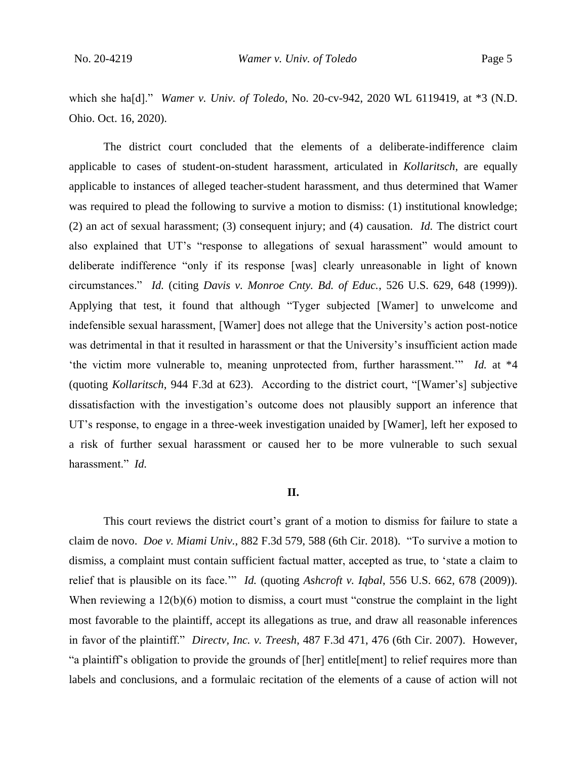which she ha[d]." *Wamer v. Univ. of Toledo*, No. 20-cv-942, 2020 WL 6119419, at \*3 (N.D. Ohio. Oct. 16, 2020).

The district court concluded that the elements of a deliberate-indifference claim applicable to cases of student-on-student harassment, articulated in *Kollaritsch*, are equally applicable to instances of alleged teacher-student harassment, and thus determined that Wamer was required to plead the following to survive a motion to dismiss: (1) institutional knowledge; (2) an act of sexual harassment; (3) consequent injury; and (4) causation. *Id.* The district court also explained that UT's "response to allegations of sexual harassment" would amount to deliberate indifference "only if its response [was] clearly unreasonable in light of known circumstances." *Id.* (citing *Davis v. Monroe Cnty. Bd. of Educ.*, 526 U.S. 629, 648 (1999)). Applying that test, it found that although "Tyger subjected [Wamer] to unwelcome and indefensible sexual harassment, [Wamer] does not allege that the University's action post-notice was detrimental in that it resulted in harassment or that the University's insufficient action made 'the victim more vulnerable to, meaning unprotected from, further harassment.'" *Id.* at \*4 (quoting *Kollaritsch*, 944 F.3d at 623). According to the district court, "[Wamer's] subjective dissatisfaction with the investigation's outcome does not plausibly support an inference that UT's response, to engage in a three-week investigation unaided by [Wamer], left her exposed to a risk of further sexual harassment or caused her to be more vulnerable to such sexual harassment." *Id.* 

# **II.**

This court reviews the district court's grant of a motion to dismiss for failure to state a claim de novo. *Doe v. Miami Univ.*, 882 F.3d 579, 588 (6th Cir. 2018). "To survive a motion to dismiss, a complaint must contain sufficient factual matter, accepted as true, to 'state a claim to relief that is plausible on its face.'" *Id.* (quoting *Ashcroft v. Iqbal*, 556 U.S. 662, 678 (2009)). When reviewing a  $12(b)(6)$  motion to dismiss, a court must "construe the complaint in the light most favorable to the plaintiff, accept its allegations as true, and draw all reasonable inferences in favor of the plaintiff." *Directv, Inc. v. Treesh*, 487 F.3d 471, 476 (6th Cir. 2007). However, "a plaintiff's obligation to provide the grounds of [her] entitle[ment] to relief requires more than labels and conclusions, and a formulaic recitation of the elements of a cause of action will not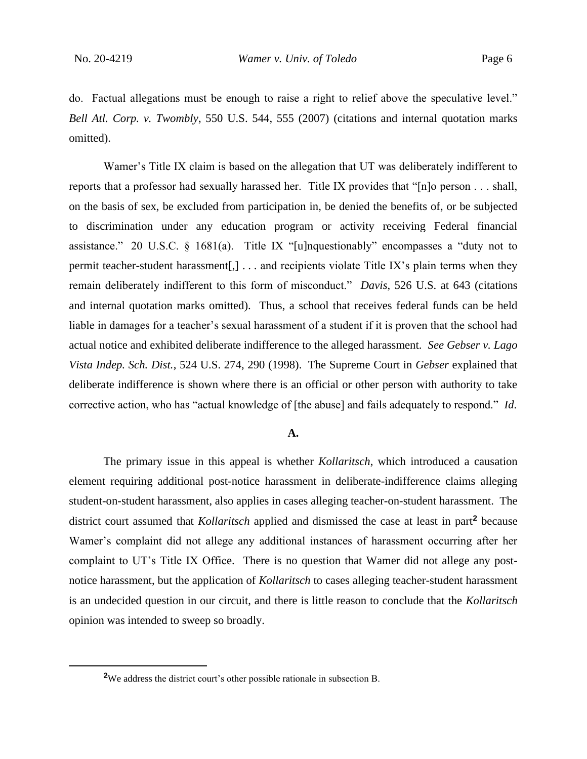do. Factual allegations must be enough to raise a right to relief above the speculative level." *Bell Atl. Corp. v. Twombly*, 550 U.S. 544, 555 (2007) (citations and internal quotation marks omitted).

Wamer's Title IX claim is based on the allegation that UT was deliberately indifferent to reports that a professor had sexually harassed her. Title IX provides that "[n]o person . . . shall, on the basis of sex, be excluded from participation in, be denied the benefits of, or be subjected to discrimination under any education program or activity receiving Federal financial assistance." 20 U.S.C. § 1681(a). Title IX "[u]nquestionably" encompasses a "duty not to permit teacher-student harassment[,] . . . and recipients violate Title IX's plain terms when they remain deliberately indifferent to this form of misconduct." *Davis*, 526 U.S. at 643 (citations and internal quotation marks omitted). Thus, a school that receives federal funds can be held liable in damages for a teacher's sexual harassment of a student if it is proven that the school had actual notice and exhibited deliberate indifference to the alleged harassment. *See Gebser v. Lago Vista Indep. Sch. Dist.*, 524 U.S. 274, 290 (1998). The Supreme Court in *Gebser* explained that deliberate indifference is shown where there is an official or other person with authority to take corrective action, who has "actual knowledge of [the abuse] and fails adequately to respond." *Id*.

#### **A.**

The primary issue in this appeal is whether *Kollaritsch*, which introduced a causation element requiring additional post-notice harassment in deliberate-indifference claims alleging student-on-student harassment, also applies in cases alleging teacher-on-student harassment. The district court assumed that *Kollaritsch* applied and dismissed the case at least in part**<sup>2</sup>** because Wamer's complaint did not allege any additional instances of harassment occurring after her complaint to UT's Title IX Office. There is no question that Wamer did not allege any postnotice harassment, but the application of *Kollaritsch* to cases alleging teacher-student harassment is an undecided question in our circuit, and there is little reason to conclude that the *Kollaritsch*  opinion was intended to sweep so broadly.

**<sup>2</sup>**We address the district court's other possible rationale in subsection B.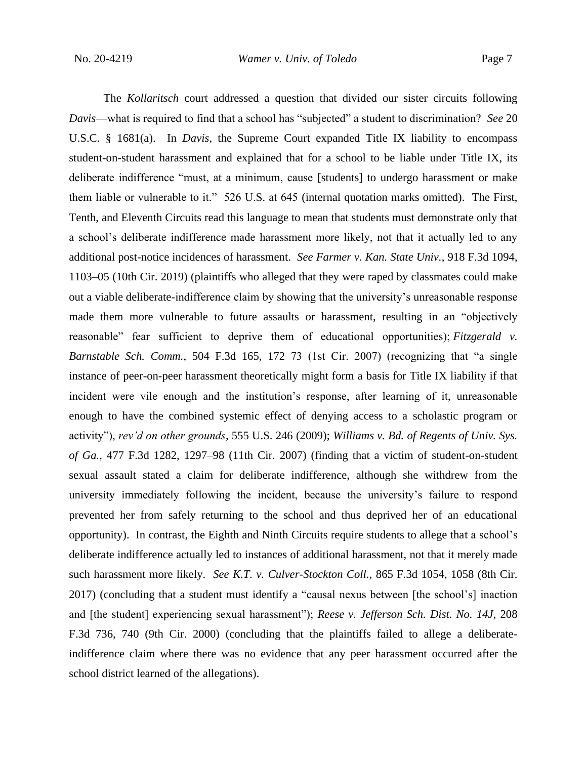The *Kollaritsch* court addressed a question that divided our sister circuits following *Davis*—what is required to find that a school has "subjected" a student to discrimination? *See* 20 U.S.C. § 1681(a). In *Davis*, the Supreme Court expanded Title IX liability to encompass student-on-student harassment and explained that for a school to be liable under Title IX, its deliberate indifference "must, at a minimum, cause [students] to undergo harassment or make them liable or vulnerable to it." 526 U.S. at 645 (internal quotation marks omitted). The First, Tenth, and Eleventh Circuits read this language to mean that students must demonstrate only that a school's deliberate indifference made harassment more likely, not that it actually led to any additional post-notice incidences of harassment. *See Farmer v. Kan. State Univ.*, 918 F.3d 1094, 1103–05 (10th Cir. 2019) (plaintiffs who alleged that they were raped by classmates could make out a viable deliberate-indifference claim by showing that the university's unreasonable response made them more vulnerable to future assaults or harassment, resulting in an "objectively reasonable" fear sufficient to deprive them of educational opportunities); *Fitzgerald v. Barnstable Sch. Comm.*, 504 F.3d 165, 172–73 (1st Cir. 2007) (recognizing that "a single instance of peer-on-peer harassment theoretically might form a basis for Title IX liability if that incident were vile enough and the institution's response, after learning of it, unreasonable enough to have the combined systemic effect of denying access to a scholastic program or activity"), *rev'd on other grounds*, 555 U.S. 246 (2009); *Williams v. Bd. of Regents of Univ. Sys. of Ga.*, 477 F.3d 1282, 1297–98 (11th Cir. 2007) (finding that a victim of student-on-student sexual assault stated a claim for deliberate indifference, although she withdrew from the university immediately following the incident, because the university's failure to respond prevented her from safely returning to the school and thus deprived her of an educational opportunity). In contrast, the Eighth and Ninth Circuits require students to allege that a school's deliberate indifference actually led to instances of additional harassment, not that it merely made such harassment more likely. *See K.T. v. Culver-Stockton Coll.*, 865 F.3d 1054, 1058 (8th Cir. 2017) (concluding that a student must identify a "causal nexus between [the school's] inaction and [the student] experiencing sexual harassment"); *Reese v. Jefferson Sch. Dist. No. 14J*, 208 F.3d 736, 740 (9th Cir. 2000) (concluding that the plaintiffs failed to allege a deliberateindifference claim where there was no evidence that any peer harassment occurred after the school district learned of the allegations).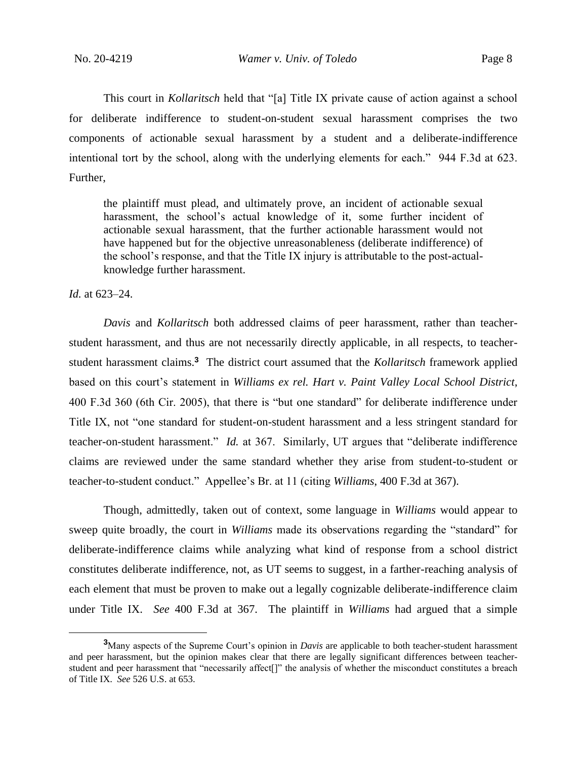This court in *Kollaritsch* held that "[a] Title IX private cause of action against a school for deliberate indifference to student-on-student sexual harassment comprises the two components of actionable sexual harassment by a student and a deliberate-indifference intentional tort by the school, along with the underlying elements for each." 944 F.3d at 623. Further,

the plaintiff must plead, and ultimately prove, an incident of actionable sexual harassment, the school's actual knowledge of it, some further incident of actionable sexual harassment, that the further actionable harassment would not have happened but for the objective unreasonableness (deliberate indifference) of the school's response, and that the Title IX injury is attributable to the post-actualknowledge further harassment.

*Id.* at 623–24.

*Davis* and *Kollaritsch* both addressed claims of peer harassment, rather than teacherstudent harassment, and thus are not necessarily directly applicable, in all respects, to teacherstudent harassment claims.**<sup>3</sup>** The district court assumed that the *Kollaritsch* framework applied based on this court's statement in *Williams ex rel. Hart v. Paint Valley Local School District*, 400 F.3d 360 (6th Cir. 2005), that there is "but one standard" for deliberate indifference under Title IX, not "one standard for student-on-student harassment and a less stringent standard for teacher-on-student harassment." *Id.* at 367. Similarly, UT argues that "deliberate indifference claims are reviewed under the same standard whether they arise from student-to-student or teacher-to-student conduct." Appellee's Br. at 11 (citing *Williams*, 400 F.3d at 367).

Though, admittedly, taken out of context, some language in *Williams* would appear to sweep quite broadly, the court in *Williams* made its observations regarding the "standard" for deliberate-indifference claims while analyzing what kind of response from a school district constitutes deliberate indifference, not, as UT seems to suggest, in a farther-reaching analysis of each element that must be proven to make out a legally cognizable deliberate-indifference claim under Title IX. *See* 400 F.3d at 367. The plaintiff in *Williams* had argued that a simple

**<sup>3</sup>**Many aspects of the Supreme Court's opinion in *Davis* are applicable to both teacher-student harassment and peer harassment, but the opinion makes clear that there are legally significant differences between teacherstudent and peer harassment that "necessarily affect[]" the analysis of whether the misconduct constitutes a breach of Title IX. *See* 526 U.S. at 653.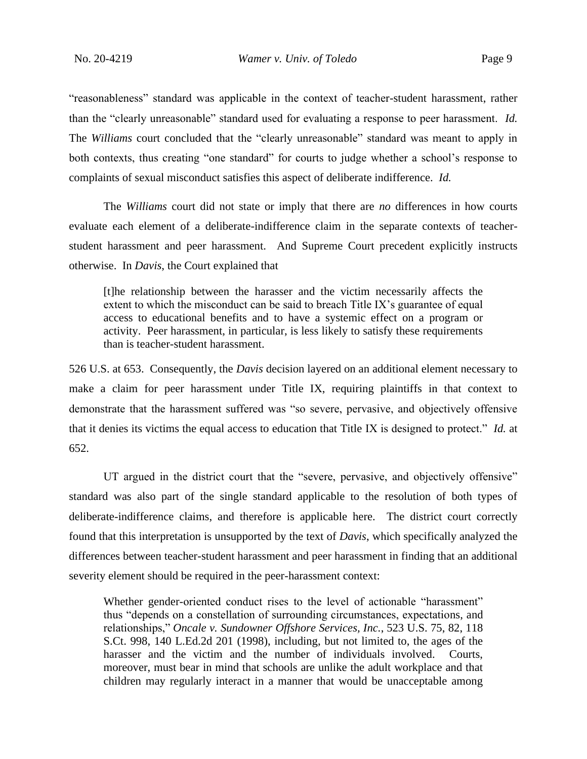"reasonableness" standard was applicable in the context of teacher-student harassment, rather than the "clearly unreasonable" standard used for evaluating a response to peer harassment. *Id.* The *Williams* court concluded that the "clearly unreasonable" standard was meant to apply in both contexts, thus creating "one standard" for courts to judge whether a school's response to complaints of sexual misconduct satisfies this aspect of deliberate indifference. *Id.* 

The *Williams* court did not state or imply that there are *no* differences in how courts evaluate each element of a deliberate-indifference claim in the separate contexts of teacherstudent harassment and peer harassment. And Supreme Court precedent explicitly instructs otherwise. In *Davis*, the Court explained that

[t]he relationship between the harasser and the victim necessarily affects the extent to which the misconduct can be said to breach Title IX's guarantee of equal access to educational benefits and to have a systemic effect on a program or activity. Peer harassment, in particular, is less likely to satisfy these requirements than is teacher-student harassment.

526 U.S. at 653. Consequently, the *Davis* decision layered on an additional element necessary to make a claim for peer harassment under Title IX, requiring plaintiffs in that context to demonstrate that the harassment suffered was "so severe, pervasive, and objectively offensive that it denies its victims the equal access to education that Title IX is designed to protect." *Id.* at 652.

UT argued in the district court that the "severe, pervasive, and objectively offensive" standard was also part of the single standard applicable to the resolution of both types of deliberate-indifference claims, and therefore is applicable here. The district court correctly found that this interpretation is unsupported by the text of *Davis*, which specifically analyzed the differences between teacher-student harassment and peer harassment in finding that an additional severity element should be required in the peer-harassment context:

Whether gender-oriented conduct rises to the level of actionable "harassment" thus "depends on a constellation of surrounding circumstances, expectations, and relationships," *Oncale v. Sundowner Offshore Services, Inc.*, 523 U.S. 75, 82, 118 S.Ct. 998, 140 L.Ed.2d 201 (1998), including, but not limited to, the ages of the harasser and the victim and the number of individuals involved. Courts, moreover, must bear in mind that schools are unlike the adult workplace and that children may regularly interact in a manner that would be unacceptable among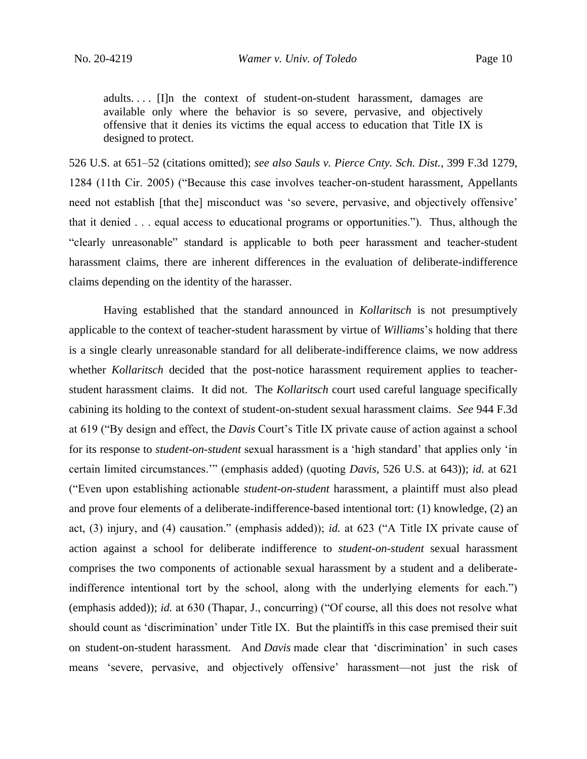adults. . . . [I]n the context of student-on-student harassment, damages are available only where the behavior is so severe, pervasive, and objectively offensive that it denies its victims the equal access to education that Title IX is designed to protect.

526 U.S. at 651–52 (citations omitted); *see also Sauls v. Pierce Cnty. Sch. Dist.*, 399 F.3d 1279, 1284 (11th Cir. 2005) ("Because this case involves teacher-on-student harassment, Appellants need not establish [that the] misconduct was 'so severe, pervasive, and objectively offensive' that it denied . . . equal access to educational programs or opportunities."). Thus, although the "clearly unreasonable" standard is applicable to both peer harassment and teacher-student harassment claims, there are inherent differences in the evaluation of deliberate-indifference claims depending on the identity of the harasser.

Having established that the standard announced in *Kollaritsch* is not presumptively applicable to the context of teacher-student harassment by virtue of *Williams*'s holding that there is a single clearly unreasonable standard for all deliberate-indifference claims, we now address whether *Kollaritsch* decided that the post-notice harassment requirement applies to teacherstudent harassment claims. It did not. The *Kollaritsch* court used careful language specifically cabining its holding to the context of student-on-student sexual harassment claims. *See* 944 F.3d at 619 ("By design and effect, the *Davis* Court's Title IX private cause of action against a school for its response to *student-on-student* sexual harassment is a 'high standard' that applies only 'in certain limited circumstances.'" (emphasis added) (quoting *Davis*, 526 U.S. at 643)); *id.* at 621 ("Even upon establishing actionable *student-on-student* harassment, a plaintiff must also plead and prove four elements of a deliberate-indifference-based intentional tort: (1) knowledge, (2) an act, (3) injury, and (4) causation." (emphasis added)); *id.* at 623 ("A Title IX private cause of action against a school for deliberate indifference to *student-on-student* sexual harassment comprises the two components of actionable sexual harassment by a student and a deliberateindifference intentional tort by the school, along with the underlying elements for each.") (emphasis added)); *id.* at 630 (Thapar, J., concurring) ("Of course, all this does not resolve what should count as 'discrimination' under Title IX. But the plaintiffs in this case premised their suit on student-on-student harassment. And *Davis* made clear that 'discrimination' in such cases means 'severe, pervasive, and objectively offensive' harassment—not just the risk of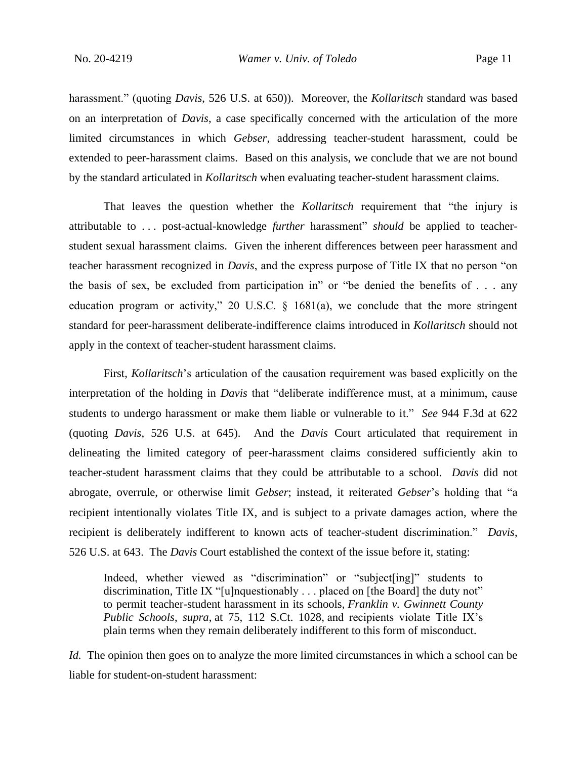harassment." (quoting *Davis*, 526 U.S. at 650)). Moreover, the *Kollaritsch* standard was based on an interpretation of *Davis*, a case specifically concerned with the articulation of the more limited circumstances in which *Gebser*, addressing teacher-student harassment, could be extended to peer-harassment claims. Based on this analysis, we conclude that we are not bound by the standard articulated in *Kollaritsch* when evaluating teacher-student harassment claims.

That leaves the question whether the *Kollaritsch* requirement that "the injury is attributable to . . . post-actual-knowledge *further* harassment" *should* be applied to teacherstudent sexual harassment claims. Given the inherent differences between peer harassment and teacher harassment recognized in *Davis*, and the express purpose of Title IX that no person "on the basis of sex, be excluded from participation in" or "be denied the benefits of . . . any education program or activity," 20 U.S.C.  $\S$  1681(a), we conclude that the more stringent standard for peer-harassment deliberate-indifference claims introduced in *Kollaritsch* should not apply in the context of teacher-student harassment claims.

First, *Kollaritsch*'s articulation of the causation requirement was based explicitly on the interpretation of the holding in *Davis* that "deliberate indifference must, at a minimum, cause students to undergo harassment or make them liable or vulnerable to it." *See* 944 F.3d at 622 (quoting *Davis*, 526 U.S. at 645). And the *Davis* Court articulated that requirement in delineating the limited category of peer-harassment claims considered sufficiently akin to teacher-student harassment claims that they could be attributable to a school. *Davis* did not abrogate, overrule, or otherwise limit *Gebser*; instead, it reiterated *Gebser*'s holding that "a recipient intentionally violates Title IX, and is subject to a private damages action, where the recipient is deliberately indifferent to known acts of teacher-student discrimination." *Davis*, 526 U.S. at 643.The *Davis* Court established the context of the issue before it, stating:

Indeed, whether viewed as "discrimination" or "subject[ing]" students to discrimination, Title IX "[u]nquestionably . . . placed on [the Board] the duty not" to permit teacher-student harassment in its schools, *Franklin v. Gwinnett County Public Schools*, *supra*, at 75, 112 S.Ct. 1028, and recipients violate Title IX's plain terms when they remain deliberately indifferent to this form of misconduct.

*Id.* The opinion then goes on to analyze the more limited circumstances in which a school can be liable for student-on-student harassment: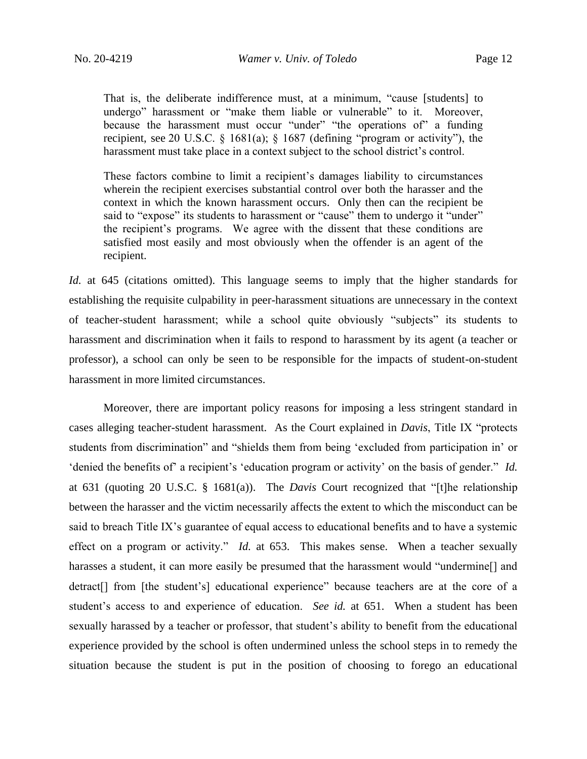That is, the deliberate indifference must, at a minimum, "cause [students] to undergo" harassment or "make them liable or vulnerable" to it. Moreover, because the harassment must occur "under" "the operations of" a funding recipient, see 20 U.S.C.  $\&$  1681(a);  $\&$  1687 (defining "program or activity"), the harassment must take place in a context subject to the school district's control.

These factors combine to limit a recipient's damages liability to circumstances wherein the recipient exercises substantial control over both the harasser and the context in which the known harassment occurs. Only then can the recipient be said to "expose" its students to harassment or "cause" them to undergo it "under" the recipient's programs. We agree with the dissent that these conditions are satisfied most easily and most obviously when the offender is an agent of the recipient.

*Id.* at 645 (citations omitted). This language seems to imply that the higher standards for establishing the requisite culpability in peer-harassment situations are unnecessary in the context of teacher-student harassment; while a school quite obviously "subjects" its students to harassment and discrimination when it fails to respond to harassment by its agent (a teacher or professor), a school can only be seen to be responsible for the impacts of student-on-student harassment in more limited circumstances.

Moreover, there are important policy reasons for imposing a less stringent standard in cases alleging teacher-student harassment. As the Court explained in *Davis*, Title IX "protects students from discrimination" and "shields them from being 'excluded from participation in' or 'denied the benefits of' a recipient's 'education program or activity' on the basis of gender." *Id.*  at 631 (quoting 20 U.S.C. § 1681(a)). The *Davis* Court recognized that "[t]he relationship between the harasser and the victim necessarily affects the extent to which the misconduct can be said to breach Title IX's guarantee of equal access to educational benefits and to have a systemic effect on a program or activity." *Id.* at 653. This makes sense. When a teacher sexually harasses a student, it can more easily be presumed that the harassment would "undermine<sup>[]</sup> and detract[] from [the student's] educational experience" because teachers are at the core of a student's access to and experience of education. *See id.* at 651. When a student has been sexually harassed by a teacher or professor, that student's ability to benefit from the educational experience provided by the school is often undermined unless the school steps in to remedy the situation because the student is put in the position of choosing to forego an educational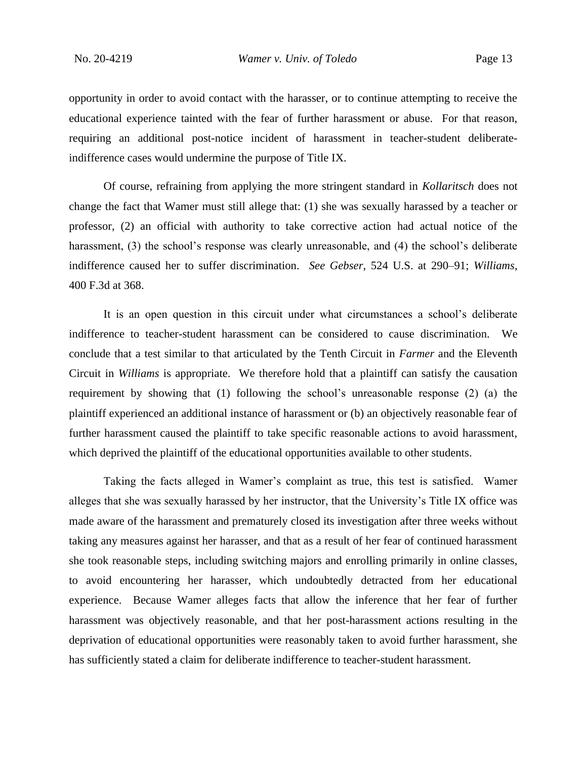opportunity in order to avoid contact with the harasser, or to continue attempting to receive the educational experience tainted with the fear of further harassment or abuse. For that reason, requiring an additional post-notice incident of harassment in teacher-student deliberateindifference cases would undermine the purpose of Title IX.

Of course, refraining from applying the more stringent standard in *Kollaritsch* does not change the fact that Wamer must still allege that: (1) she was sexually harassed by a teacher or professor, (2) an official with authority to take corrective action had actual notice of the harassment, (3) the school's response was clearly unreasonable, and (4) the school's deliberate indifference caused her to suffer discrimination. *See Gebser*, 524 U.S. at 290–91; *Williams*, 400 F.3d at 368.

It is an open question in this circuit under what circumstances a school's deliberate indifference to teacher-student harassment can be considered to cause discrimination. We conclude that a test similar to that articulated by the Tenth Circuit in *Farmer* and the Eleventh Circuit in *Williams* is appropriate. We therefore hold that a plaintiff can satisfy the causation requirement by showing that (1) following the school's unreasonable response (2) (a) the plaintiff experienced an additional instance of harassment or (b) an objectively reasonable fear of further harassment caused the plaintiff to take specific reasonable actions to avoid harassment, which deprived the plaintiff of the educational opportunities available to other students.

Taking the facts alleged in Wamer's complaint as true, this test is satisfied. Wamer alleges that she was sexually harassed by her instructor, that the University's Title IX office was made aware of the harassment and prematurely closed its investigation after three weeks without taking any measures against her harasser, and that as a result of her fear of continued harassment she took reasonable steps, including switching majors and enrolling primarily in online classes, to avoid encountering her harasser, which undoubtedly detracted from her educational experience. Because Wamer alleges facts that allow the inference that her fear of further harassment was objectively reasonable, and that her post-harassment actions resulting in the deprivation of educational opportunities were reasonably taken to avoid further harassment, she has sufficiently stated a claim for deliberate indifference to teacher-student harassment.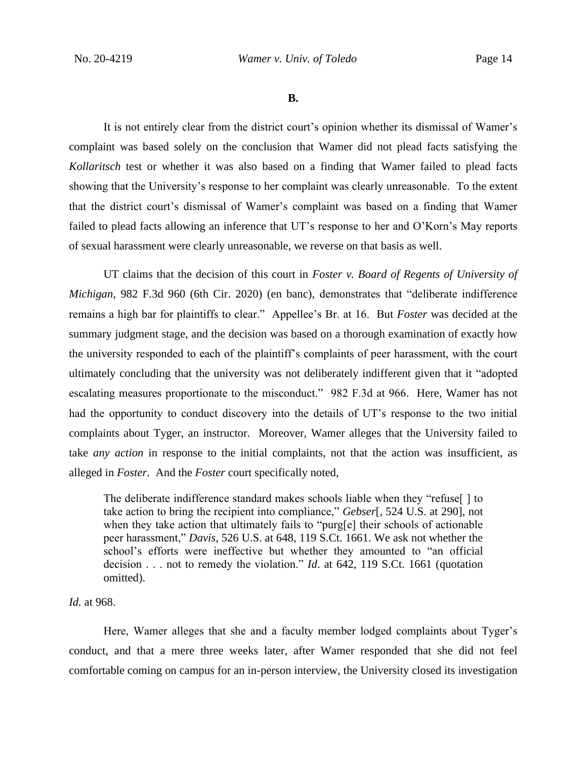**B.**

It is not entirely clear from the district court's opinion whether its dismissal of Wamer's complaint was based solely on the conclusion that Wamer did not plead facts satisfying the *Kollaritsch* test or whether it was also based on a finding that Wamer failed to plead facts showing that the University's response to her complaint was clearly unreasonable. To the extent that the district court's dismissal of Wamer's complaint was based on a finding that Wamer failed to plead facts allowing an inference that UT's response to her and O'Korn's May reports of sexual harassment were clearly unreasonable, we reverse on that basis as well.

UT claims that the decision of this court in *Foster v. Board of Regents of University of Michigan*, 982 F.3d 960 (6th Cir. 2020) (en banc), demonstrates that "deliberate indifference remains a high bar for plaintiffs to clear." Appellee's Br. at 16. But *Foster* was decided at the summary judgment stage, and the decision was based on a thorough examination of exactly how the university responded to each of the plaintiff's complaints of peer harassment, with the court ultimately concluding that the university was not deliberately indifferent given that it "adopted escalating measures proportionate to the misconduct." 982 F.3d at 966. Here, Wamer has not had the opportunity to conduct discovery into the details of UT's response to the two initial complaints about Tyger, an instructor. Moreover, Wamer alleges that the University failed to take *any action* in response to the initial complaints, not that the action was insufficient, as alleged in *Foster*. And the *Foster* court specifically noted,

The deliberate indifference standard makes schools liable when they "refuse[ ] to take action to bring the recipient into compliance," *Gebser*[, 524 U.S. at 290], not when they take action that ultimately fails to "purg[e] their schools of actionable peer harassment," *Davis*, 526 U.S. at 648, 119 S.Ct. 1661. We ask not whether the school's efforts were ineffective but whether they amounted to "an official decision . . . not to remedy the violation." *Id*. at 642, 119 S.Ct. 1661 (quotation omitted).

#### *Id.* at 968.

Here, Wamer alleges that she and a faculty member lodged complaints about Tyger's conduct, and that a mere three weeks later, after Wamer responded that she did not feel comfortable coming on campus for an in-person interview, the University closed its investigation